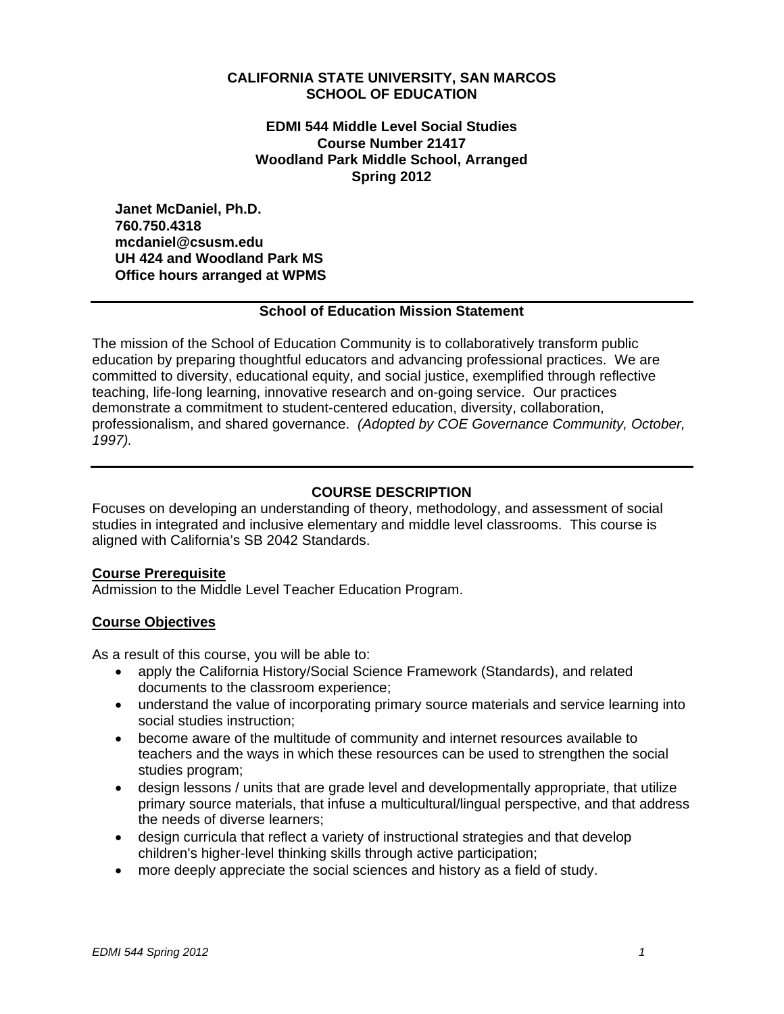#### **CALIFORNIA STATE UNIVERSITY, SAN MARCOS SCHOOL OF EDUCATION**

#### **EDMI 544 Middle Level Social Studies Course Number 21417 Woodland Park Middle School, Arranged Spring 2012**

**Janet McDaniel, Ph.D. 760.750.4318 mcdaniel@csusm.edu UH 424 and Woodland Park MS Office hours arranged at WPMS** 

### **School of Education Mission Statement**

The mission of the School of Education Community is to collaboratively transform public education by preparing thoughtful educators and advancing professional practices. We are committed to diversity, educational equity, and social justice, exemplified through reflective teaching, life-long learning, innovative research and on-going service. Our practices demonstrate a commitment to student-centered education, diversity, collaboration, professionalism, and shared governance. *(Adopted by COE Governance Community, October, 1997).* 

### **COURSE DESCRIPTION**

Focuses on developing an understanding of theory, methodology, and assessment of social studies in integrated and inclusive elementary and middle level classrooms. This course is aligned with California's SB 2042 Standards.

#### **Course Prerequisite**

Admission to the Middle Level Teacher Education Program.

#### **Course Objectives**

As a result of this course, you will be able to:

- apply the California History/Social Science Framework (Standards), and related documents to the classroom experience;
- understand the value of incorporating primary source materials and service learning into social studies instruction;
- become aware of the multitude of community and internet resources available to teachers and the ways in which these resources can be used to strengthen the social studies program;
- design lessons / units that are grade level and developmentally appropriate, that utilize primary source materials, that infuse a multicultural/lingual perspective, and that address the needs of diverse learners;
- design curricula that reflect a variety of instructional strategies and that develop children's higher-level thinking skills through active participation;
- more deeply appreciate the social sciences and history as a field of study.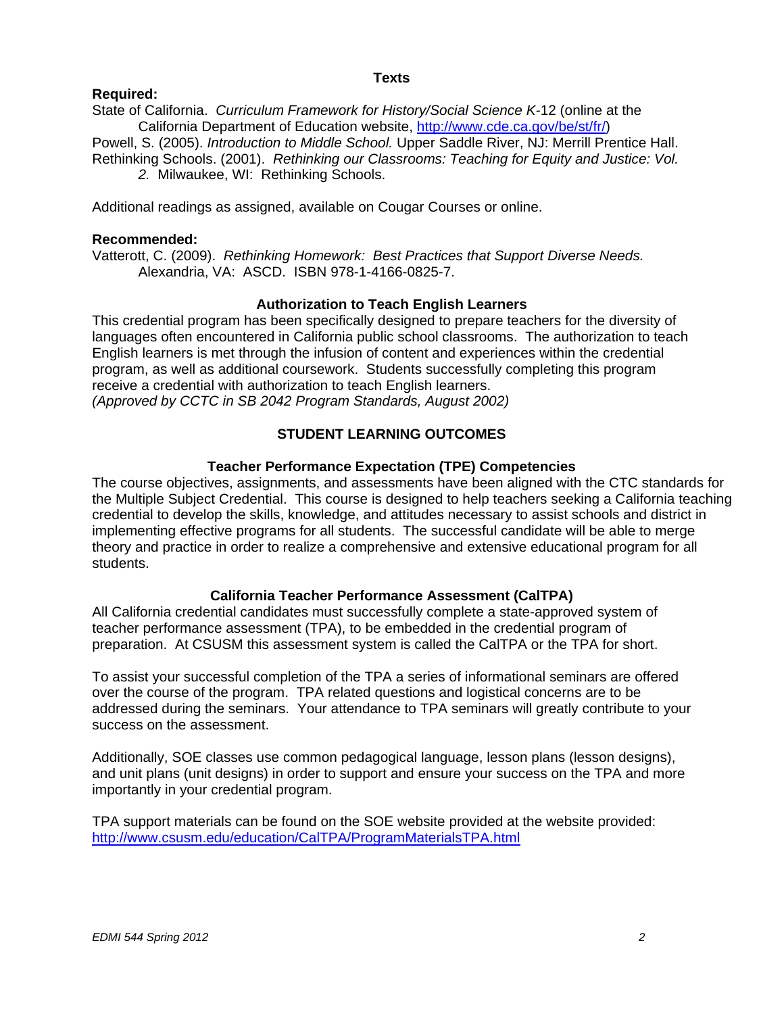#### **Texts**

# **Required:**

State of California. *Curriculum Framework for History/Social Science K-*12 (online at the California Department of Education website, http://www.cde.ca.gov/be/st/fr/)

Powell, S. (2005). *Introduction to Middle School.* Upper Saddle River, NJ: Merrill Prentice Hall. Rethinking Schools. (2001). *Rethinking our Classrooms: Teaching for Equity and Justice: Vol. 2.* Milwaukee, WI: Rethinking Schools.

Additional readings as assigned, available on Cougar Courses or online.

#### **Recommended:**

Vatterott, C. (2009). *Rethinking Homework: Best Practices that Support Diverse Needs.*  Alexandria, VA: ASCD. ISBN 978-1-4166-0825-7.

### **Authorization to Teach English Learners**

This credential program has been specifically designed to prepare teachers for the diversity of languages often encountered in California public school classrooms. The authorization to teach English learners is met through the infusion of content and experiences within the credential program, as well as additional coursework. Students successfully completing this program receive a credential with authorization to teach English learners. *(Approved by CCTC in SB 2042 Program Standards, August 2002)* 

# **STUDENT LEARNING OUTCOMES**

#### **Teacher Performance Expectation (TPE) Competencies**

The course objectives, assignments, and assessments have been aligned with the CTC standards for the Multiple Subject Credential. This course is designed to help teachers seeking a California teaching credential to develop the skills, knowledge, and attitudes necessary to assist schools and district in implementing effective programs for all students. The successful candidate will be able to merge theory and practice in order to realize a comprehensive and extensive educational program for all students.

### **California Teacher Performance Assessment (CalTPA)**

All California credential candidates must successfully complete a state-approved system of teacher performance assessment (TPA), to be embedded in the credential program of preparation. At CSUSM this assessment system is called the CalTPA or the TPA for short.

To assist your successful completion of the TPA a series of informational seminars are offered over the course of the program. TPA related questions and logistical concerns are to be addressed during the seminars. Your attendance to TPA seminars will greatly contribute to your success on the assessment.

Additionally, SOE classes use common pedagogical language, lesson plans (lesson designs), and unit plans (unit designs) in order to support and ensure your success on the TPA and more importantly in your credential program.

TPA support materials can be found on the SOE website provided at the website provided: http://www.csusm.edu/education/CalTPA/ProgramMaterialsTPA.html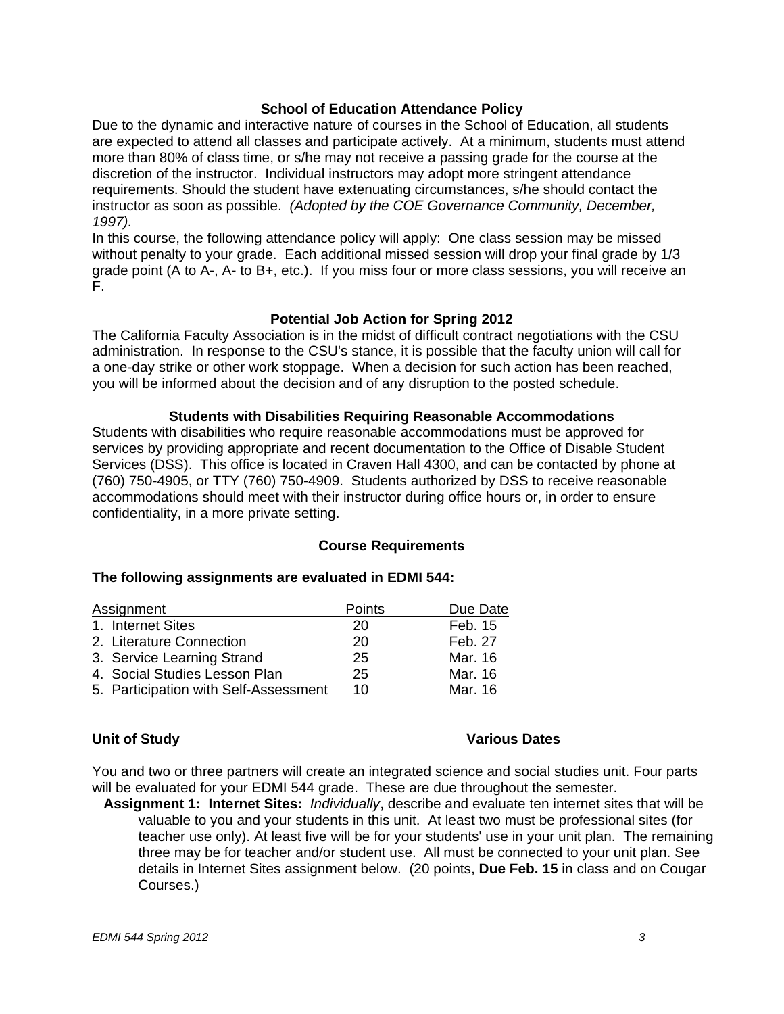#### **School of Education Attendance Policy**

 *1997).* Due to the dynamic and interactive nature of courses in the School of Education, all students are expected to attend all classes and participate actively. At a minimum, students must attend more than 80% of class time, or s/he may not receive a passing grade for the course at the discretion of the instructor. Individual instructors may adopt more stringent attendance requirements. Should the student have extenuating circumstances, s/he should contact the instructor as soon as possible. *(Adopted by the COE Governance Community, December,* 

In this course, the following attendance policy will apply: One class session may be missed without penalty to your grade. Each additional missed session will drop your final grade by 1/3 grade point (A to A-, A- to B+, etc.). If you miss four or more class sessions, you will receive an F.

#### **Potential Job Action for Spring 2012**

The California Faculty Association is in the midst of difficult contract negotiations with the CSU administration. In response to the CSU's stance, it is possible that the faculty union will call for a one-day strike or other work stoppage. When a decision for such action has been reached, you will be informed about the decision and of any disruption to the posted schedule.

#### **Students with Disabilities Requiring Reasonable Accommodations**

Students with disabilities who require reasonable accommodations must be approved for services by providing appropriate and recent documentation to the Office of Disable Student Services (DSS). This office is located in Craven Hall 4300, and can be contacted by phone at (760) 750-4905, or TTY (760) 750-4909. Students authorized by DSS to receive reasonable accommodations should meet with their instructor during office hours or, in order to ensure confidentiality, in a more private setting.

#### **Course Requirements**

### **The following assignments are evaluated in EDMI 544:**

| Assignment                            | Points | Due Date |
|---------------------------------------|--------|----------|
| 1. Internet Sites                     | 20     | Feb. 15  |
| 2. Literature Connection              | 20     | Feb. 27  |
| 3. Service Learning Strand            | 25     | Mar. 16  |
| 4. Social Studies Lesson Plan         | 25     | Mar. 16  |
| 5. Participation with Self-Assessment | 10     | Mar. 16  |

### **Unit of Study**

#### **Various Dates**

You and two or three partners will create an integrated science and social studies unit. Four parts will be evaluated for your EDMI 544 grade. These are due throughout the semester.

**Assignment 1: Internet Sites:** *Individually*, describe and evaluate ten internet sites that will be valuable to you and your students in this unit. At least two must be professional sites (for teacher use only). At least five will be for your students' use in your unit plan. The remaining three may be for teacher and/or student use. All must be connected to your unit plan. See details in Internet Sites assignment below. (20 points, **Due Feb. 15** in class and on Cougar Courses.)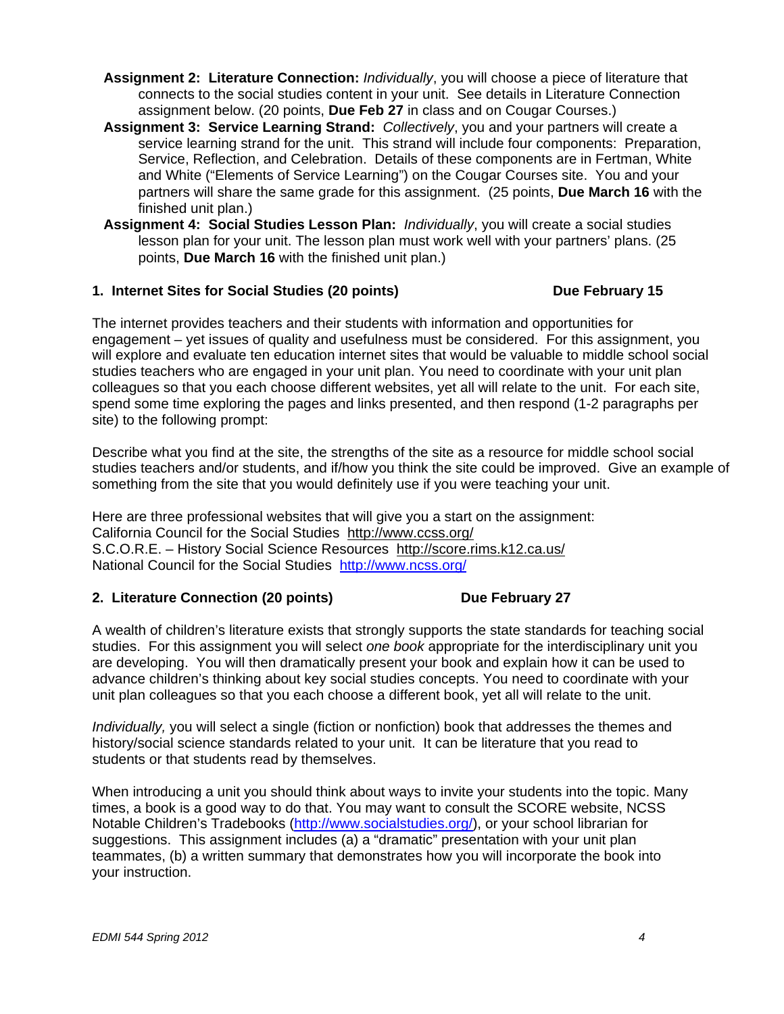- **Assignment 2: Literature Connection:** *Individually*, you will choose a piece of literature that connects to the social studies content in your unit. See details in Literature Connection assignment below. (20 points, **Due Feb 27** in class and on Cougar Courses.)
- **Assignment 3: Service Learning Strand:** *Collectively*, you and your partners will create a service learning strand for the unit. This strand will include four components: Preparation, Service, Reflection, and Celebration. Details of these components are in Fertman, White and White ("Elements of Service Learning") on the Cougar Courses site. You and your partners will share the same grade for this assignment. (25 points, **Due March 16** with the finished unit plan.)
- **Assignment 4: Social Studies Lesson Plan:** *Individually*, you will create a social studies lesson plan for your unit. The lesson plan must work well with your partners' plans. (25 points, **Due March 16** with the finished unit plan.)

#### **1. Internet Sites for Social Studies (20 points) Community Contrary 15 Alleh February 15**

The internet provides teachers and their students with information and opportunities for engagement – yet issues of quality and usefulness must be considered. For this assignment, you will explore and evaluate ten education internet sites that would be valuable to middle school social studies teachers who are engaged in your unit plan. You need to coordinate with your unit plan colleagues so that you each choose different websites, yet all will relate to the unit. For each site, spend some time exploring the pages and links presented, and then respond (1-2 paragraphs per site) to the following prompt:

Describe what you find at the site, the strengths of the site as a resource for middle school social studies teachers and/or students, and if/how you think the site could be improved. Give an example of something from the site that you would definitely use if you were teaching your unit.

Here are three professional websites that will give you a start on the assignment: California Council for the Social Studies http://www.ccss.org/ S.C.O.R.E. – History Social Science Resources http://score.rims.k12.ca.us/ National Council for the Social Studies http://www.ncss.org/

### 2. Literature Connection (20 points) Due February 27

A wealth of children's literature exists that strongly supports the state standards for teaching social studies. For this assignment you will select *one book* appropriate for the interdisciplinary unit you are developing. You will then dramatically present your book and explain how it can be used to advance children's thinking about key social studies concepts. You need to coordinate with your unit plan colleagues so that you each choose a different book, yet all will relate to the unit.

*Individually,* you will select a single (fiction or nonfiction) book that addresses the themes and history/social science standards related to your unit. It can be literature that you read to students or that students read by themselves.

When introducing a unit you should think about ways to invite your students into the topic. Many times, a book is a good way to do that. You may want to consult the SCORE website, NCSS Notable Children's Tradebooks (http://www.socialstudies.org/), or your school librarian for suggestions. This assignment includes (a) a "dramatic" presentation with your unit plan teammates, (b) a written summary that demonstrates how you will incorporate the book into your instruction.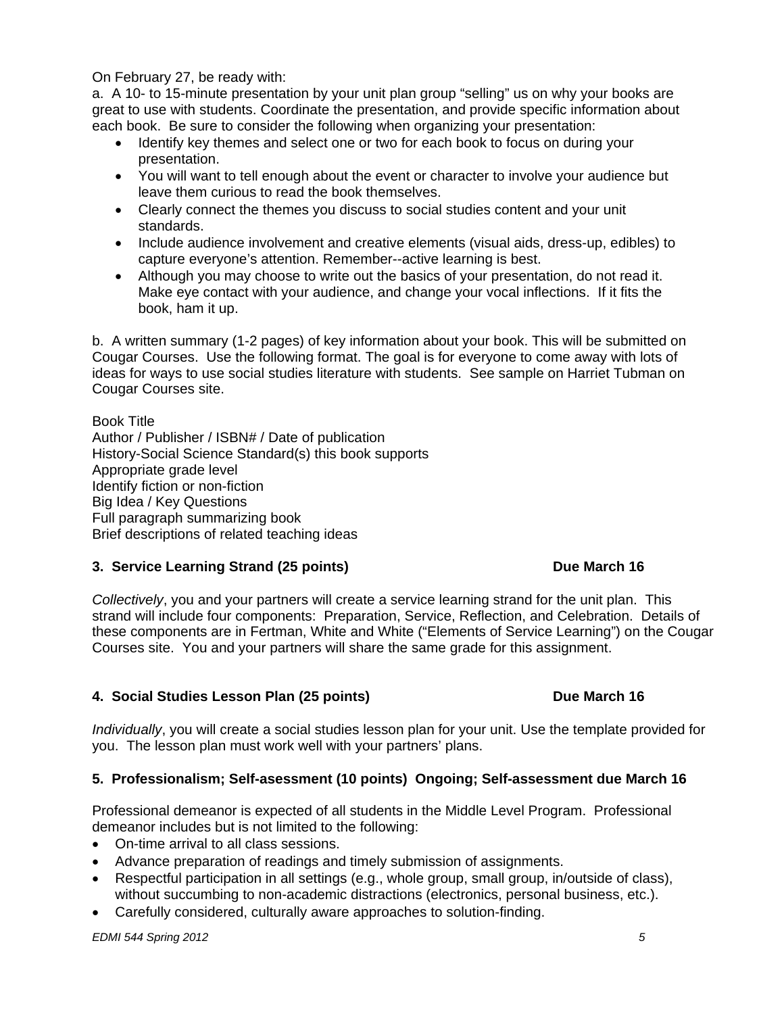On February 27, be ready with:

a. A 10- to 15-minute presentation by your unit plan group "selling" us on why your books are great to use with students. Coordinate the presentation, and provide specific information about each book. Be sure to consider the following when organizing your presentation:

- Identify key themes and select one or two for each book to focus on during your presentation.
- You will want to tell enough about the event or character to involve your audience but leave them curious to read the book themselves.
- Clearly connect the themes you discuss to social studies content and your unit standards.
- Include audience involvement and creative elements (visual aids, dress-up, edibles) to capture everyone's attention. Remember--active learning is best.
- Although you may choose to write out the basics of your presentation, do not read it. Make eye contact with your audience, and change your vocal inflections. If it fits the book, ham it up.

b. A written summary (1-2 pages) of key information about your book. This will be submitted on Cougar Courses. Use the following format. The goal is for everyone to come away with lots of ideas for ways to use social studies literature with students. See sample on Harriet Tubman on Cougar Courses site.

Book Title Author / Publisher / ISBN# / Date of publication History-Social Science Standard(s) this book supports Appropriate grade level Identify fiction or non-fiction Big Idea / Key Questions Full paragraph summarizing book Brief descriptions of related teaching ideas

# **3. Service Learning Strand (25 points) Due March 16**

*Collectively*, you and your partners will create a service learning strand for the unit plan. This strand will include four components: Preparation, Service, Reflection, and Celebration. Details of these components are in Fertman, White and White ("Elements of Service Learning") on the Cougar Courses site. You and your partners will share the same grade for this assignment.

# 4. Social Studies Lesson Plan (25 points) **Due March 16 Due March 16**

*Individually*, you will create a social studies lesson plan for your unit. Use the template provided for you. The lesson plan must work well with your partners' plans.

# **5. Professionalism; Self-asessment (10 points) Ongoing; Self-assessment due March 16**

Professional demeanor is expected of all students in the Middle Level Program. Professional demeanor includes but is not limited to the following:

- On-time arrival to all class sessions.
- Advance preparation of readings and timely submission of assignments.
- Respectful participation in all settings (e.g., whole group, small group, in/outside of class), without succumbing to non-academic distractions (electronics, personal business, etc.).
- Carefully considered, culturally aware approaches to solution-finding.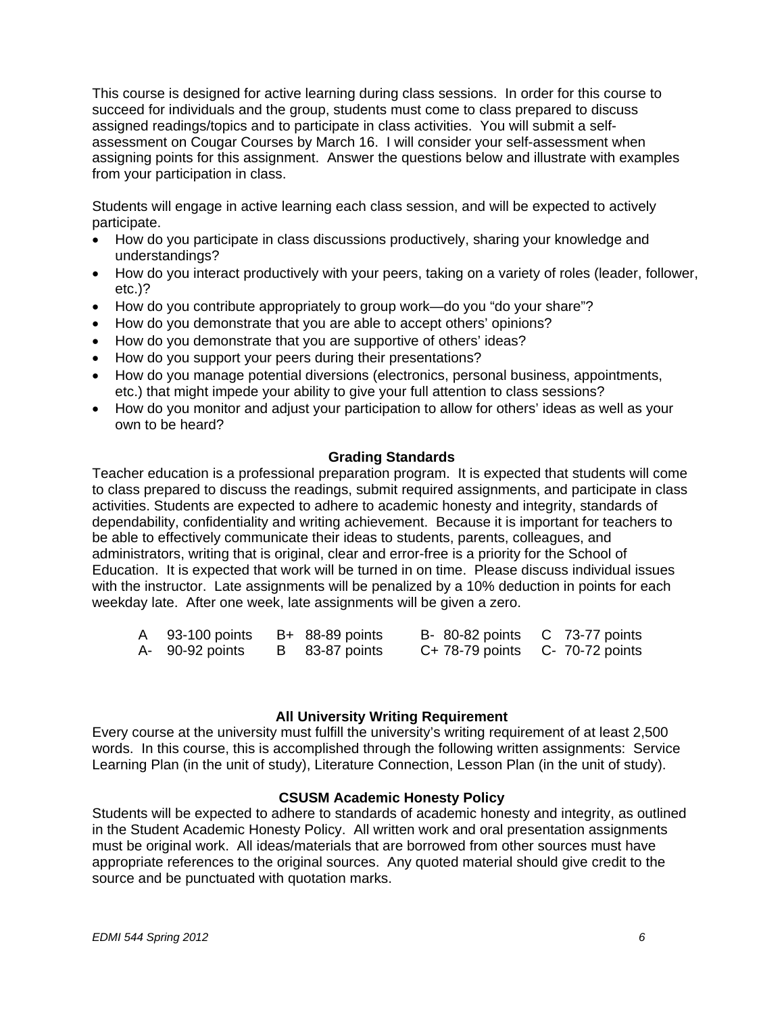This course is designed for active learning during class sessions. In order for this course to succeed for individuals and the group, students must come to class prepared to discuss assigned readings/topics and to participate in class activities. You will submit a selfassessment on Cougar Courses by March 16. I will consider your self-assessment when assigning points for this assignment. Answer the questions below and illustrate with examples from your participation in class.

Students will engage in active learning each class session, and will be expected to actively participate.

- How do you participate in class discussions productively, sharing your knowledge and understandings?
- How do you interact productively with your peers, taking on a variety of roles (leader, follower, etc.)?
- How do you contribute appropriately to group work—do you "do your share"?
- How do you demonstrate that you are able to accept others' opinions?
- How do you demonstrate that you are supportive of others' ideas?
- How do you support your peers during their presentations?
- How do you manage potential diversions (electronics, personal business, appointments, etc.) that might impede your ability to give your full attention to class sessions?
- How do you monitor and adjust your participation to allow for others' ideas as well as your own to be heard?

#### **Grading Standards**

Teacher education is a professional preparation program. It is expected that students will come to class prepared to discuss the readings, submit required assignments, and participate in class activities. Students are expected to adhere to academic honesty and integrity, standards of dependability, confidentiality and writing achievement. Because it is important for teachers to be able to effectively communicate their ideas to students, parents, colleagues, and administrators, writing that is original, clear and error-free is a priority for the School of Education. It is expected that work will be turned in on time. Please discuss individual issues with the instructor. Late assignments will be penalized by a 10% deduction in points for each weekday late. After one week, late assignments will be given a zero.

| A 93-100 points | B+ 88-89 points | B-80-82 points C 73-77 points   |  |
|-----------------|-----------------|---------------------------------|--|
| A- 90-92 points | B 83-87 points  | C+ 78-79 points C- 70-72 points |  |

#### **All University Writing Requirement**

Every course at the university must fulfill the university's writing requirement of at least 2,500 words. In this course, this is accomplished through the following written assignments: Service Learning Plan (in the unit of study), Literature Connection, Lesson Plan (in the unit of study).

#### **CSUSM Academic Honesty Policy**

Students will be expected to adhere to standards of academic honesty and integrity, as outlined in the Student Academic Honesty Policy. All written work and oral presentation assignments must be original work. All ideas/materials that are borrowed from other sources must have appropriate references to the original sources. Any quoted material should give credit to the source and be punctuated with quotation marks.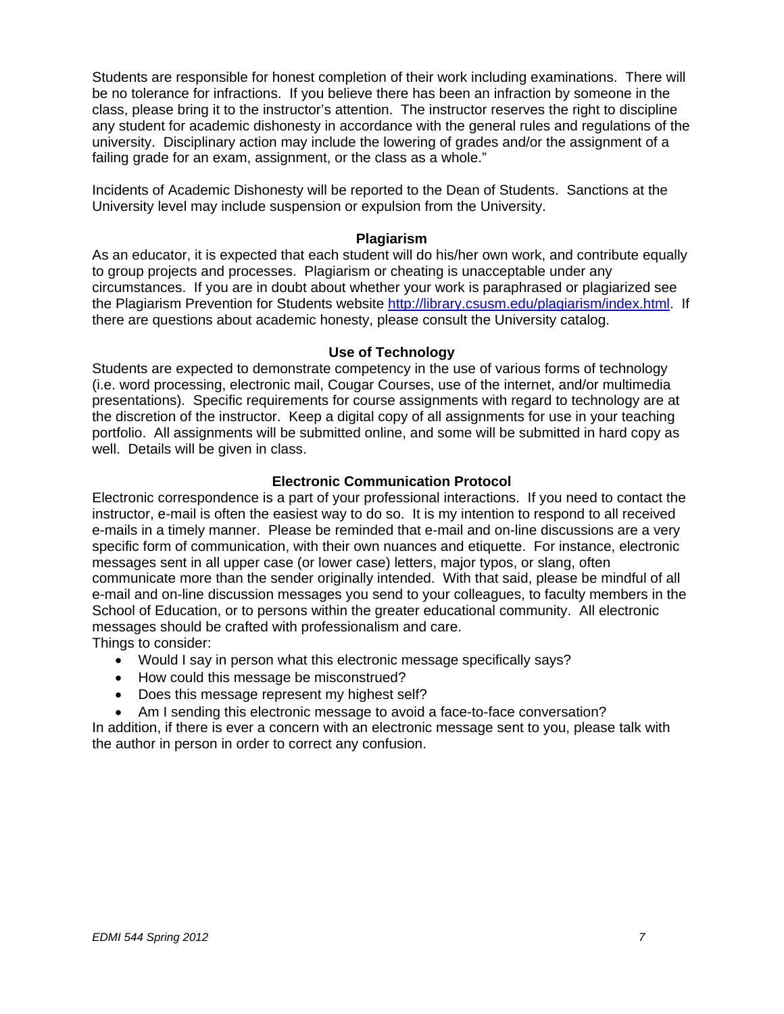Students are responsible for honest completion of their work including examinations. There will be no tolerance for infractions. If you believe there has been an infraction by someone in the class, please bring it to the instructor's attention. The instructor reserves the right to discipline any student for academic dishonesty in accordance with the general rules and regulations of the university. Disciplinary action may include the lowering of grades and/or the assignment of a failing grade for an exam, assignment, or the class as a whole."

Incidents of Academic Dishonesty will be reported to the Dean of Students. Sanctions at the University level may include suspension or expulsion from the University.

#### **Plagiarism**

As an educator, it is expected that each student will do his/her own work, and contribute equally to group projects and processes. Plagiarism or cheating is unacceptable under any circumstances. If you are in doubt about whether your work is paraphrased or plagiarized see the Plagiarism Prevention for Students website http://library.csusm.edu/plagiarism/index.html. If there are questions about academic honesty, please consult the University catalog.

#### **Use of Technology**

Students are expected to demonstrate competency in the use of various forms of technology (i.e. word processing, electronic mail, Cougar Courses, use of the internet, and/or multimedia presentations). Specific requirements for course assignments with regard to technology are at the discretion of the instructor. Keep a digital copy of all assignments for use in your teaching portfolio. All assignments will be submitted online, and some will be submitted in hard copy as well. Details will be given in class.

#### **Electronic Communication Protocol**

Electronic correspondence is a part of your professional interactions. If you need to contact the instructor, e-mail is often the easiest way to do so. It is my intention to respond to all received e-mails in a timely manner. Please be reminded that e-mail and on-line discussions are a very specific form of communication, with their own nuances and etiquette. For instance, electronic messages sent in all upper case (or lower case) letters, major typos, or slang, often communicate more than the sender originally intended. With that said, please be mindful of all e-mail and on-line discussion messages you send to your colleagues, to faculty members in the School of Education, or to persons within the greater educational community. All electronic messages should be crafted with professionalism and care.

Things to consider:

- Would I say in person what this electronic message specifically says?
- How could this message be misconstrued?
- Does this message represent my highest self?
- Am I sending this electronic message to avoid a face-to-face conversation?

In addition, if there is ever a concern with an electronic message sent to you, please talk with the author in person in order to correct any confusion.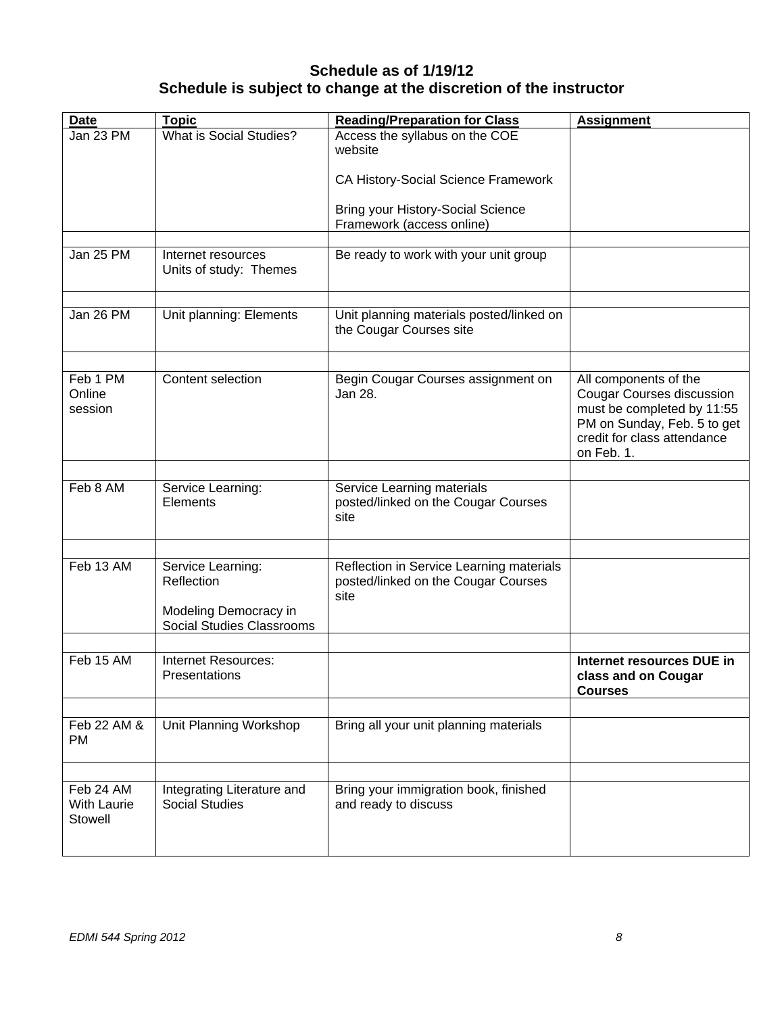# **Schedule as of 1/19/12 Schedule is subject to change at the discretion of the instructor**

| <b>Date</b>                                | <b>Topic</b>                                                                                 | <b>Reading/Preparation for Class</b>                                                    | <b>Assignment</b>                                                                                                                                                   |
|--------------------------------------------|----------------------------------------------------------------------------------------------|-----------------------------------------------------------------------------------------|---------------------------------------------------------------------------------------------------------------------------------------------------------------------|
| Jan 23 PM                                  | What is Social Studies?                                                                      | Access the syllabus on the COE<br>website                                               |                                                                                                                                                                     |
|                                            |                                                                                              | CA History-Social Science Framework                                                     |                                                                                                                                                                     |
|                                            |                                                                                              | <b>Bring your History-Social Science</b><br>Framework (access online)                   |                                                                                                                                                                     |
|                                            |                                                                                              |                                                                                         |                                                                                                                                                                     |
| Jan 25 PM                                  | Internet resources<br>Units of study: Themes                                                 | Be ready to work with your unit group                                                   |                                                                                                                                                                     |
|                                            |                                                                                              |                                                                                         |                                                                                                                                                                     |
| Jan 26 PM                                  | Unit planning: Elements                                                                      | Unit planning materials posted/linked on<br>the Cougar Courses site                     |                                                                                                                                                                     |
|                                            |                                                                                              |                                                                                         |                                                                                                                                                                     |
| Feb 1 PM<br>Online<br>session              | Content selection                                                                            | Begin Cougar Courses assignment on<br>Jan 28.                                           | All components of the<br><b>Cougar Courses discussion</b><br>must be completed by 11:55<br>PM on Sunday, Feb. 5 to get<br>credit for class attendance<br>on Feb. 1. |
|                                            |                                                                                              |                                                                                         |                                                                                                                                                                     |
| Feb 8 AM                                   | Service Learning:<br>Elements                                                                | Service Learning materials<br>posted/linked on the Cougar Courses<br>site               |                                                                                                                                                                     |
|                                            |                                                                                              |                                                                                         |                                                                                                                                                                     |
| Feb 13 AM                                  | Service Learning:<br>Reflection<br>Modeling Democracy in<br><b>Social Studies Classrooms</b> | Reflection in Service Learning materials<br>posted/linked on the Cougar Courses<br>site |                                                                                                                                                                     |
|                                            |                                                                                              |                                                                                         |                                                                                                                                                                     |
| Feb 15 AM                                  | Internet Resources:<br>Presentations                                                         |                                                                                         | Internet resources DUE in<br>class and on Cougar<br><b>Courses</b>                                                                                                  |
|                                            |                                                                                              |                                                                                         |                                                                                                                                                                     |
| Feb 22 AM &<br><b>PM</b>                   | Unit Planning Workshop                                                                       | Bring all your unit planning materials                                                  |                                                                                                                                                                     |
|                                            |                                                                                              |                                                                                         |                                                                                                                                                                     |
| Feb 24 AM<br><b>With Laurie</b><br>Stowell | Integrating Literature and<br><b>Social Studies</b>                                          | Bring your immigration book, finished<br>and ready to discuss                           |                                                                                                                                                                     |